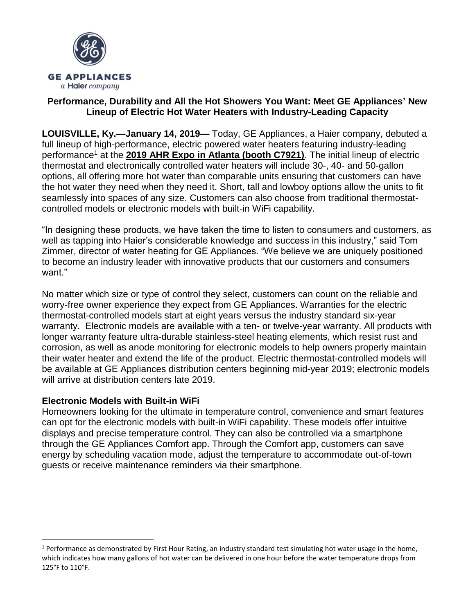

### **Performance, Durability and All the Hot Showers You Want: Meet GE Appliances' New Lineup of Electric Hot Water Heaters with Industry-Leading Capacity**

**LOUISVILLE, Ky.—January 14, 2019—** Today, GE Appliances, a Haier company, debuted a full lineup of high-performance, electric powered water heaters featuring industry-leading performance<sup>1</sup> at the [2019 AHR Expo in Atlanta \(booth C7921\)](https://ahrexpo.com/about/). The initial lineup of electric thermostat and electronically controlled water heaters will include 30-, 40- and 50-gallon options, all offering more hot water than comparable units ensuring that customers can have the hot water they need when they need it. Short, tall and lowboy options allow the units to fit seamlessly into spaces of any size. Customers can also choose from traditional thermostatcontrolled models or electronic models with built-in WiFi capability.

"In designing these products, we have taken the time to listen to consumers and customers, as well as tapping into Haier's considerable knowledge and success in this industry," said Tom Zimmer, director of water heating for GE Appliances. "We believe we are uniquely positioned to become an industry leader with innovative products that our customers and consumers want"

No matter which size or type of control they select, customers can count on the reliable and worry-free owner experience they expect from GE Appliances. Warranties for the electric thermostat-controlled models start at eight years versus the industry standard six-year warranty. Electronic models are available with a ten- or twelve-year warranty. All products with longer warranty feature ultra-durable stainless-steel heating elements, which resist rust and corrosion, as well as anode monitoring for electronic models to help owners properly maintain their water heater and extend the life of the product. Electric thermostat-controlled models will be available at GE Appliances distribution centers beginning mid-year 2019; electronic models will arrive at distribution centers late 2019.

## **Electronic Models with Built-in WiFi**

 $\overline{a}$ 

Homeowners looking for the ultimate in temperature control, convenience and smart features can opt for the electronic models with built-in WiFi capability. These models offer intuitive displays and precise temperature control. They can also be controlled via a smartphone through the GE Appliances Comfort app. Through the Comfort app, customers can save energy by scheduling vacation mode, adjust the temperature to accommodate out-of-town guests or receive maintenance reminders via their smartphone.

<sup>&</sup>lt;sup>1</sup> Performance as demonstrated by First Hour Rating, an industry standard test simulating hot water usage in the home, which indicates how many gallons of hot water can be delivered in one hour before the water temperature drops from 125°F to 110°F.